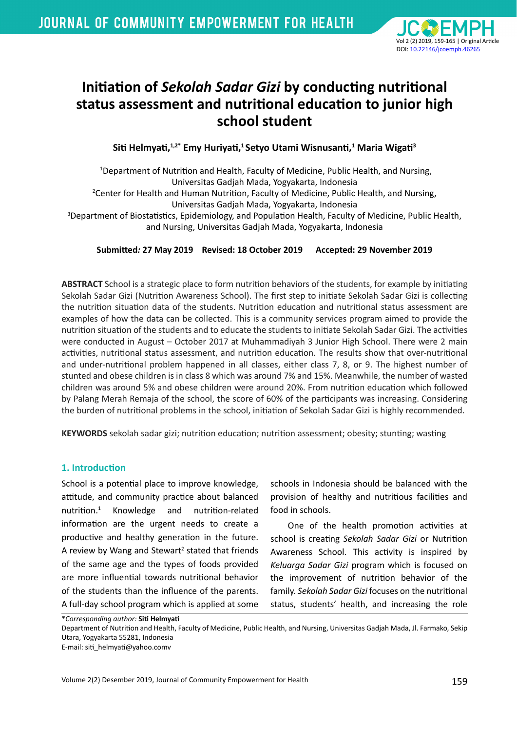

# **Initiation of** *Sekolah Sadar Gizi* **by conducting nutritional status assessment and nutritional education to junior high school student**

**Siti Helmyati,1,2\* Emy Huriyati,1 Setyo Utami Wisnusanti,<sup>1</sup> Maria Wigati<sup>3</sup>**

 1Department of Nutrition and Health, Faculty of Medicine, Public Health, and Nursing, Universitas Gadjah Mada, Yogyakarta, Indonesia 2 Center for Health and Human Nutrition, Faculty of Medicine, Public Health, and Nursing, Universitas Gadjah Mada, Yogyakarta, Indonesia 3 Department of Biostatistics, Epidemiology, and Population Health, Faculty of Medicine, Public Health, and Nursing, Universitas Gadjah Mada, Yogyakarta, Indonesia

## **Submitted***:* **27 May 2019 Revised: 18 October 2019 Accepted: 29 November 2019**

**ABSTRACT** School is a strategic place to form nutrition behaviors of the students, for example by initiating Sekolah Sadar Gizi (Nutrition Awareness School). The first step to initiate Sekolah Sadar Gizi is collecting the nutrition situation data of the students. Nutrition education and nutritional status assessment are examples of how the data can be collected. This is a community services program aimed to provide the nutrition situation of the students and to educate the students to initiate Sekolah Sadar Gizi. The activities were conducted in August – October 2017 at Muhammadiyah 3 Junior High School. There were 2 main activities, nutritional status assessment, and nutrition education. The results show that over-nutritional and under-nutritional problem happened in all classes, either class 7, 8, or 9. The highest number of stunted and obese children is in class 8 which was around 7% and 15%. Meanwhile, the number of wasted children was around 5% and obese children were around 20%. From nutrition education which followed by Palang Merah Remaja of the school, the score of 60% of the participants was increasing. Considering the burden of nutritional problems in the school, initiation of Sekolah Sadar Gizi is highly recommended.

**KEYWORDS** sekolah sadar gizi; nutrition education; nutrition assessment; obesity; stunting; wasting

## **1. Introduction**

School is a potential place to improve knowledge, attitude, and community practice about balanced nutrition.<sup>1</sup> Knowledge and nutrition-related information are the urgent needs to create a productive and healthy generation in the future. A review by Wang and Stewart<sup>2</sup> stated that friends of the same age and the types of foods provided are more influential towards nutritional behavior of the students than the influence of the parents. A full-day school program which is applied at some

schools in Indonesia should be balanced with the provision of healthy and nutritious facilities and food in schools.

One of the health promotion activities at school is creating *Sekolah Sadar Gizi* or Nutrition Awareness School. This activity is inspired by *Keluarga Sadar Gizi* program which is focused on the improvement of nutrition behavior of the family. *Sekolah Sadar Gizi* focuses on the nutritional status, students' health, and increasing the role

\**Corresponding author:* **Siti Helmyati**

Department of Nutrition and Health, Faculty of Medicine, Public Health, and Nursing, Universitas Gadjah Mada, Jl. Farmako, Sekip Utara, Yogyakarta 55281, Indonesia

E-mail: siti\_helmyati@yahoo.comv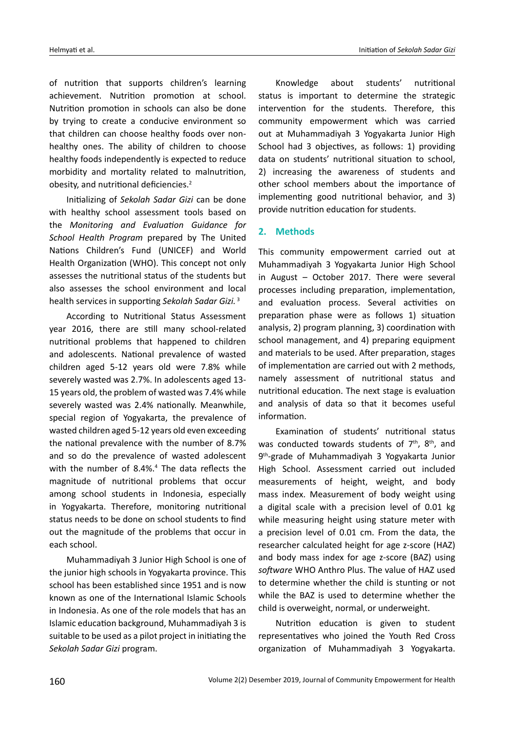of nutrition that supports children's learning achievement. Nutrition promotion at school. Nutrition promotion in schools can also be done by trying to create a conducive environment so that children can choose healthy foods over nonhealthy ones. The ability of children to choose healthy foods independently is expected to reduce morbidity and mortality related to malnutrition, obesity, and nutritional deficiencies.<sup>2</sup>

Initializing of *Sekolah Sadar Gizi* can be done with healthy school assessment tools based on the *Monitoring and Evaluation Guidance for School Health Program* prepared by The United Nations Children's Fund (UNICEF) and World Health Organization (WHO). This concept not only assesses the nutritional status of the students but also assesses the school environment and local health services in supporting *Sekolah Sadar Gizi.*<sup>3</sup>

According to Nutritional Status Assessment year 2016, there are still many school-related nutritional problems that happened to children and adolescents. National prevalence of wasted children aged 5-12 years old were 7.8% while severely wasted was 2.7%. In adolescents aged 13- 15 years old, the problem of wasted was 7.4% while severely wasted was 2.4% nationally. Meanwhile, special region of Yogyakarta, the prevalence of wasted children aged 5-12 years old even exceeding the national prevalence with the number of 8.7% and so do the prevalence of wasted adolescent with the number of 8.4%.<sup>4</sup> The data reflects the magnitude of nutritional problems that occur among school students in Indonesia, especially in Yogyakarta. Therefore, monitoring nutritional status needs to be done on school students to find out the magnitude of the problems that occur in each school.

Muhammadiyah 3 Junior High School is one of the junior high schools in Yogyakarta province. This school has been established since 1951 and is now known as one of the International Islamic Schools in Indonesia. As one of the role models that has an Islamic education background, Muhammadiyah 3 is suitable to be used as a pilot project in initiating the *Sekolah Sadar Gizi* program.

Knowledge about students' nutritional status is important to determine the strategic intervention for the students. Therefore, this community empowerment which was carried out at Muhammadiyah 3 Yogyakarta Junior High School had 3 objectives, as follows: 1) providing data on students' nutritional situation to school, 2) increasing the awareness of students and other school members about the importance of implementing good nutritional behavior, and 3) provide nutrition education for students.

## **2. Methods**

This community empowerment carried out at Muhammadiyah 3 Yogyakarta Junior High School in August – October 2017. There were several processes including preparation, implementation, and evaluation process. Several activities on preparation phase were as follows 1) situation analysis, 2) program planning, 3) coordination with school management, and 4) preparing equipment and materials to be used. After preparation, stages of implementation are carried out with 2 methods, namely assessment of nutritional status and nutritional education. The next stage is evaluation and analysis of data so that it becomes useful information.

Examination of students' nutritional status was conducted towards students of  $7<sup>th</sup>$ ,  $8<sup>th</sup>$ , and 9th-grade of Muhammadiyah 3 Yogyakarta Junior High School. Assessment carried out included measurements of height, weight, and body mass index. Measurement of body weight using a digital scale with a precision level of 0.01 kg while measuring height using stature meter with a precision level of 0.01 cm. From the data, the researcher calculated height for age z-score (HAZ) and body mass index for age z-score (BAZ) using *software* WHO Anthro Plus. The value of HAZ used to determine whether the child is stunting or not while the BAZ is used to determine whether the child is overweight, normal, or underweight.

Nutrition education is given to student representatives who joined the Youth Red Cross organization of Muhammadiyah 3 Yogyakarta.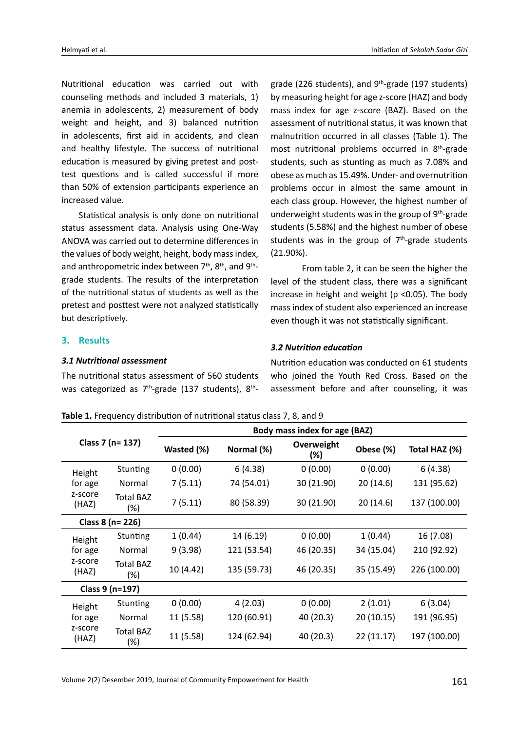Nutritional education was carried out with counseling methods and included 3 materials, 1) anemia in adolescents, 2) measurement of body weight and height, and 3) balanced nutrition in adolescents, first aid in accidents, and clean and healthy lifestyle. The success of nutritional education is measured by giving pretest and posttest questions and is called successful if more than 50% of extension participants experience an increased value.

Statistical analysis is only done on nutritional status assessment data. Analysis using One-Way ANOVA was carried out to determine differences in the values of body weight, height, body mass index, and anthropometric index between  $7<sup>th</sup>$ ,  $8<sup>th</sup>$ , and  $9<sup>th</sup>$ grade students. The results of the interpretation of the nutritional status of students as well as the pretest and posttest were not analyzed statistically but descriptively.

## **3. Results**

#### *3.1 Nutritional assessment*

The nutritional status assessment of 560 students was categorized as  $7<sup>th</sup>$ -grade (137 students),  $8<sup>th</sup>$ - grade (226 students), and  $9<sup>th</sup>$ -grade (197 students) by measuring height for age z-score (HAZ) and body mass index for age z-score (BAZ). Based on the assessment of nutritional status, it was known that malnutrition occurred in all classes (Table 1). The most nutritional problems occurred in 8th-grade students, such as stunting as much as 7.08% and obese as much as 15.49%. Under- and overnutrition problems occur in almost the same amount in each class group. However, the highest number of underweight students was in the group of 9<sup>th</sup>-grade students (5.58%) and the highest number of obese students was in the group of  $7<sup>th</sup>$ -grade students (21.90%).

From table 2**,** it can be seen the higher the level of the student class, there was a significant increase in height and weight ( $p$  <0.05). The body mass index of student also experienced an increase even though it was not statistically significant.

## *3.2 Nutrition education*

Nutrition education was conducted on 61 students who joined the Youth Red Cross. Based on the assessment before and after counseling, it was

| Class 7 (n= 137)                      |                         | Body mass index for age (BAZ) |             |                   |            |               |
|---------------------------------------|-------------------------|-------------------------------|-------------|-------------------|------------|---------------|
|                                       |                         | Wasted (%)                    | Normal (%)  | Overweight<br>(%) | Obese (%)  | Total HAZ (%) |
| Height<br>for age<br>z-score<br>(HAZ) | Stunting                | 0(0.00)                       | 6(4.38)     | 0(0.00)           | 0(0.00)    | 6(4.38)       |
|                                       | Normal                  | 7(5.11)                       | 74 (54.01)  | 30 (21.90)        | 20(14.6)   | 131 (95.62)   |
|                                       | <b>Total BAZ</b><br>(%) | 7(5.11)                       | 80 (58.39)  | 30 (21.90)        | 20(14.6)   | 137 (100.00)  |
| Class 8 (n= 226)                      |                         |                               |             |                   |            |               |
| Height<br>for age<br>z-score<br>(HAZ) | Stunting                | 1(0.44)                       | 14 (6.19)   | 0(0.00)           | 1(0.44)    | 16 (7.08)     |
|                                       | Normal                  | 9(3.98)                       | 121 (53.54) | 46 (20.35)        | 34 (15.04) | 210 (92.92)   |
|                                       | <b>Total BAZ</b><br>(%) | 10 (4.42)                     | 135 (59.73) | 46 (20.35)        | 35 (15.49) | 226 (100.00)  |
| Class 9 (n=197)                       |                         |                               |             |                   |            |               |
| Height<br>for age<br>z-score<br>(HAZ) | Stunting                | 0(0.00)                       | 4 (2.03)    | 0(0.00)           | 2(1.01)    | 6(3.04)       |
|                                       | Normal                  | 11 (5.58)                     | 120 (60.91) | 40 (20.3)         | 20 (10.15) | 191 (96.95)   |
|                                       | Total BAZ<br>(%)        | 11 (5.58)                     | 124 (62.94) | 40 (20.3)         | 22 (11.17) | 197 (100.00)  |

**Table 1.** Frequency distribution of nutritional status class 7, 8, and 9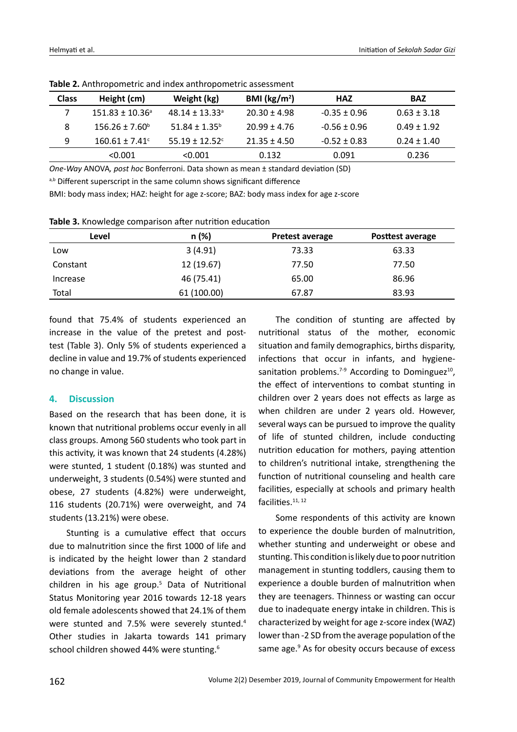| <b>Class</b> | Height (cm)                | Weight (kg)                    | BMI ( $\text{kg/m}^2$ ) | <b>HAZ</b>       | <b>BAZ</b>      |
|--------------|----------------------------|--------------------------------|-------------------------|------------------|-----------------|
|              | $151.83 \pm 10.36^{\circ}$ | $48.14 + 13.33$ <sup>a</sup>   | $20.30 \pm 4.98$        | $-0.35 \pm 0.96$ | $0.63 \pm 3.18$ |
| 8            | $156.26 \pm 7.60^{\circ}$  | $51.84 \pm 1.35^b$             | $20.99 \pm 4.76$        | $-0.56 \pm 0.96$ | $0.49 + 1.92$   |
| 9            | $160.61 \pm 7.41^{\circ}$  | $55.19 \pm 12.52$ <sup>c</sup> | $21.35 \pm 4.50$        | $-0.52 \pm 0.83$ | $0.24 \pm 1.40$ |
|              | < 0.001                    | < 0.001                        | 0.132                   | 0.091            | 0.236           |

**Table 2.** Anthropometric and index anthropometric assessment

*One-Way* ANOVA*, post hoc* Bonferroni. Data shown as mean ± standard deviation (SD)

a,b Different superscript in the same column shows significant difference

BMI: body mass index; HAZ: height for age z-score; BAZ: body mass index for age z-score

**Table 3.** Knowledge comparison after nutrition education

| Level    | n(%)        | <b>Pretest average</b> | Posttest average |
|----------|-------------|------------------------|------------------|
| Low      | 3(4.91)     | 73.33                  | 63.33            |
| Constant | 12 (19.67)  | 77.50                  | 77.50            |
| Increase | 46 (75.41)  | 65.00                  | 86.96            |
| Total    | 61 (100.00) | 67.87                  | 83.93            |

found that 75.4% of students experienced an increase in the value of the pretest and posttest (Table 3). Only 5% of students experienced a decline in value and 19.7% of students experienced no change in value.

## **4. Discussion**

Based on the research that has been done, it is known that nutritional problems occur evenly in all class groups. Among 560 students who took part in this activity, it was known that 24 students (4.28%) were stunted, 1 student (0.18%) was stunted and underweight, 3 students (0.54%) were stunted and obese, 27 students (4.82%) were underweight, 116 students (20.71%) were overweight, and 74 students (13.21%) were obese.

Stunting is a cumulative effect that occurs due to malnutrition since the first 1000 of life and is indicated by the height lower than 2 standard deviations from the average height of other children in his age group.<sup>5</sup> Data of Nutritional Status Monitoring year 2016 towards 12-18 years old female adolescents showed that 24.1% of them were stunted and 7.5% were severely stunted.<sup>4</sup> Other studies in Jakarta towards 141 primary school children showed 44% were stunting.<sup>6</sup>

The condition of stunting are affected by nutritional status of the mother, economic situation and family demographics, births disparity, infections that occur in infants, and hygienesanitation problems.<sup>7-9</sup> According to Dominguez<sup>10</sup>, the effect of interventions to combat stunting in children over 2 years does not effects as large as when children are under 2 years old. However, several ways can be pursued to improve the quality of life of stunted children, include conducting nutrition education for mothers, paying attention to children's nutritional intake, strengthening the function of nutritional counseling and health care facilities, especially at schools and primary health facilities.<sup>11, 12</sup>

Some respondents of this activity are known to experience the double burden of malnutrition, whether stunting and underweight or obese and stunting. This condition is likely due to poor nutrition management in stunting toddlers, causing them to experience a double burden of malnutrition when they are teenagers. Thinness or wasting can occur due to inadequate energy intake in children. This is characterized by weight for age z-score index (WAZ) lower than -2 SD from the average population of the same age.<sup>9</sup> As for obesity occurs because of excess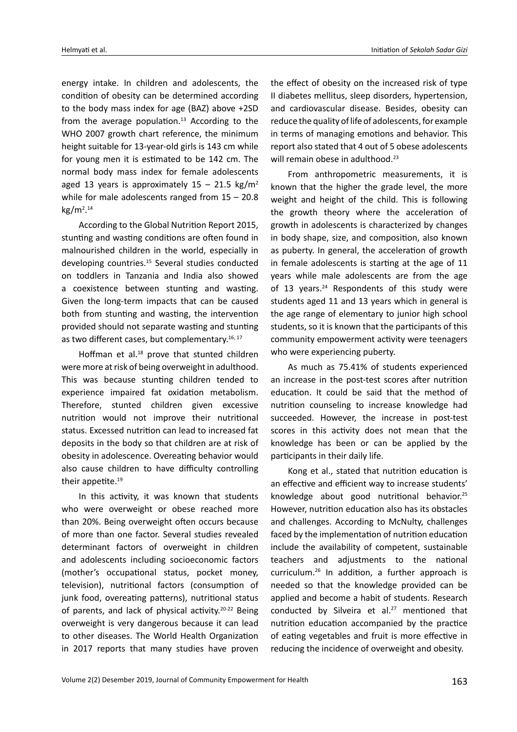energy intake. In children and adolescents, the condition of obesity can be determined according to the body mass index for age (BAZ) above +2SD from the average population.<sup>13</sup> According to the WHO 2007 growth chart reference, the minimum height suitable for 13-year-old girls is 143 cm while for young men it is estimated to be 142 cm. The normal body mass index for female adolescents aged 13 years is approximately  $15 - 21.5$  kg/m<sup>2</sup> while for male adolescents ranged from  $15 - 20.8$ kg/m2 . 14

According to the Global Nutrition Report 2015, stunting and wasting conditions are often found in malnourished children in the world, especially in developing countries.<sup>15</sup> Several studies conducted on toddlers in Tanzania and India also showed a coexistence between stunting and wasting. Given the long-term impacts that can be caused both from stunting and wasting, the intervention provided should not separate wasting and stunting as two different cases, but complementary.<sup>16, 17</sup>

Hoffman et al.<sup>18</sup> prove that stunted children were more at risk of being overweight in adulthood. This was because stunting children tended to experience impaired fat oxidation metabolism. Therefore, stunted children given excessive nutrition would not improve their nutritional status. Excessed nutrition can lead to increased fat deposits in the body so that children are at risk of obesity in adolescence. Overeating behavior would also cause children to have difficulty controlling their appetite.<sup>19</sup>

In this activity, it was known that students who were overweight or obese reached more than 20%. Being overweight often occurs because of more than one factor. Several studies revealed determinant factors of overweight in children and adolescents including socioeconomic factors (mother's occupational status, pocket money, television), nutritional factors (consumption of junk food, overeating patterns), nutritional status of parents, and lack of physical activity.<sup>20-22</sup> Being overweight is very dangerous because it can lead to other diseases. The World Health Organization in 2017 reports that many studies have proven

the effect of obesity on the increased risk of type II diabetes mellitus, sleep disorders, hypertension, and cardiovascular disease. Besides, obesity can reduce the quality of life of adolescents, for example in terms of managing emotions and behavior. This report also stated that 4 out of 5 obese adolescents will remain obese in adulthood.<sup>23</sup>

From anthropometric measurements, it is known that the higher the grade level, the more weight and height of the child. This is following the growth theory where the acceleration of growth in adolescents is characterized by changes in body shape, size, and composition, also known as puberty. In general, the acceleration of growth in female adolescents is starting at the age of 11 years while male adolescents are from the age of 13 years. $24$  Respondents of this study were students aged 11 and 13 years which in general is the age range of elementary to junior high school students, so it is known that the participants of this community empowerment activity were teenagers who were experiencing puberty.

As much as 75.41% of students experienced an increase in the post-test scores after nutrition education. It could be said that the method of nutrition counseling to increase knowledge had succeeded. However, the increase in post-test scores in this activity does not mean that the knowledge has been or can be applied by the participants in their daily life.

Kong et al., stated that nutrition education is an effective and efficient way to increase students' knowledge about good nutritional behavior.25 However, nutrition education also has its obstacles and challenges. According to McNulty, challenges faced by the implementation of nutrition education include the availability of competent, sustainable teachers and adjustments to the national curriculum.26 In addition, a further approach is needed so that the knowledge provided can be applied and become a habit of students. Research conducted by Silveira et al.<sup>27</sup> mentioned that nutrition education accompanied by the practice of eating vegetables and fruit is more effective in reducing the incidence of overweight and obesity.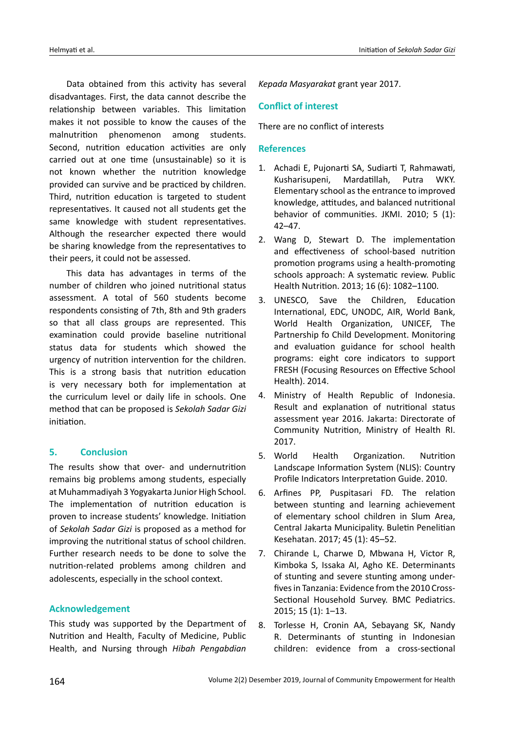Data obtained from this activity has several disadvantages. First, the data cannot describe the relationship between variables. This limitation makes it not possible to know the causes of the malnutrition phenomenon among students. Second, nutrition education activities are only carried out at one time (unsustainable) so it is not known whether the nutrition knowledge provided can survive and be practiced by children. Third, nutrition education is targeted to student representatives. It caused not all students get the same knowledge with student representatives. Although the researcher expected there would be sharing knowledge from the representatives to their peers, it could not be assessed.

This data has advantages in terms of the number of children who joined nutritional status assessment. A total of 560 students become respondents consisting of 7th, 8th and 9th graders so that all class groups are represented. This examination could provide baseline nutritional status data for students which showed the urgency of nutrition intervention for the children. This is a strong basis that nutrition education is very necessary both for implementation at the curriculum level or daily life in schools. One method that can be proposed is *Sekolah Sadar Gizi* initiation.

## **5. Conclusion**

The results show that over- and undernutrition remains big problems among students, especially at Muhammadiyah 3 Yogyakarta Junior High School. The implementation of nutrition education is proven to increase students' knowledge. Initiation of *Sekolah Sadar Gizi* is proposed as a method for improving the nutritional status of school children. Further research needs to be done to solve the nutrition-related problems among children and adolescents, especially in the school context.

## **Acknowledgement**

This study was supported by the Department of Nutrition and Health, Faculty of Medicine, Public Health, and Nursing through *Hibah Pengabdian*  *Kepada Masyarakat* grant year 2017.

#### **Conflict of interest**

There are no conflict of interests

#### **References**

- 1. Achadi E, Pujonarti SA, Sudiarti T, Rahmawati, Kusharisupeni, Mardatillah, Putra WKY. Elementary school as the entrance to improved knowledge, attitudes, and balanced nutritional behavior of communities. JKMI. 2010; 5 (1): 42–47.
- 2. Wang D, Stewart D. The implementation and effectiveness of school-based nutrition promotion programs using a health-promoting schools approach: A systematic review. Public Health Nutrition. 2013; 16 (6): 1082–1100.
- 3. UNESCO, Save the Children, Education International, EDC, UNODC, AIR, World Bank, World Health Organization, UNICEF, The Partnership fo Child Development. Monitoring and evaluation guidance for school health programs: eight core indicators to support FRESH (Focusing Resources on Effective School Health). 2014.
- 4. Ministry of Health Republic of Indonesia. Result and explanation of nutritional status assessment year 2016. Jakarta: Directorate of Community Nutrition, Ministry of Health RI. 2017.
- 5. World Health Organization. Nutrition Landscape Information System (NLIS): Country Profile Indicators Interpretation Guide. 2010.
- 6. Arfines PP, Puspitasari FD. The relation between stunting and learning achievement of elementary school children in Slum Area, Central Jakarta Municipality. Buletin Penelitian Kesehatan. 2017; 45 (1): 45–52.
- 7. Chirande L, Charwe D, Mbwana H, Victor R, Kimboka S, Issaka AI, Agho KE. Determinants of stunting and severe stunting among underfives in Tanzania: Evidence from the 2010 Cross-Sectional Household Survey. BMC Pediatrics. 2015; 15 (1): 1–13.
- 8. Torlesse H, Cronin AA, Sebayang SK, Nandy R. Determinants of stunting in Indonesian children: evidence from a cross-sectional